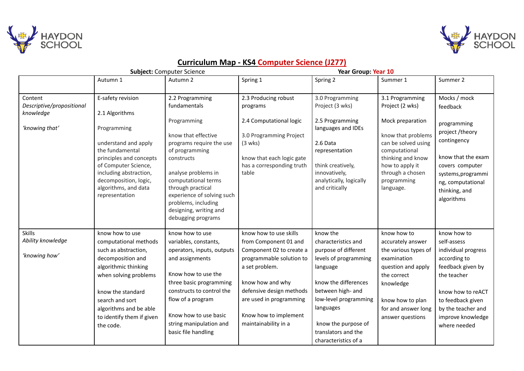



|                                                                     |                                                                                                                                                                                                                                                    | <b>Subject: Computer Science</b>                                                                                                                                                                                                                                                                          | Year Group: Year 10                                                                                                                                                                                                                                   |                                                                                                                                                                                                                                                       |                                                                                                                                                                                                              |                                                                                                                                                                                                            |
|---------------------------------------------------------------------|----------------------------------------------------------------------------------------------------------------------------------------------------------------------------------------------------------------------------------------------------|-----------------------------------------------------------------------------------------------------------------------------------------------------------------------------------------------------------------------------------------------------------------------------------------------------------|-------------------------------------------------------------------------------------------------------------------------------------------------------------------------------------------------------------------------------------------------------|-------------------------------------------------------------------------------------------------------------------------------------------------------------------------------------------------------------------------------------------------------|--------------------------------------------------------------------------------------------------------------------------------------------------------------------------------------------------------------|------------------------------------------------------------------------------------------------------------------------------------------------------------------------------------------------------------|
|                                                                     | Autumn 1                                                                                                                                                                                                                                           | Autumn 2                                                                                                                                                                                                                                                                                                  | Spring 1                                                                                                                                                                                                                                              | Spring 2                                                                                                                                                                                                                                              | Summer 1                                                                                                                                                                                                     | Summer 2                                                                                                                                                                                                   |
| Content<br>Descriptive/propositional<br>knowledge<br>'knowing that' | E-safety revision<br>2.1 Algorithms<br>Programming<br>understand and apply<br>the fundamental<br>principles and concepts<br>of Computer Science,<br>including abstraction,<br>decomposition, logic,<br>algorithms, and data<br>representation      | 2.2 Programming<br>fundamentals<br>Programming<br>know that effective<br>programs require the use<br>of programming<br>constructs<br>analyse problems in<br>computational terms<br>through practical<br>experience of solving such<br>problems, including<br>designing, writing and<br>debugging programs | 2.3 Producing robust<br>programs<br>2.4 Computational logic<br>3.0 Programming Project<br>$(3 \text{ wks})$<br>know that each logic gate<br>has a corresponding truth<br>table                                                                        | 3.0 Programming<br>Project (3 wks)<br>2.5 Programming<br>languages and IDEs<br>2.6 Data<br>representation<br>think creatively,<br>innovatively,<br>analytically, logically<br>and critically                                                          | 3.1 Programming<br>Project (2 wks)<br>Mock preparation<br>know that problems<br>can be solved using<br>computational<br>thinking and know<br>how to apply it<br>through a chosen<br>programming<br>language. | Mocks / mock<br>feedback<br>programming<br>project /theory<br>contingency<br>know that the exam<br>covers computer<br>systems, programmi<br>ng, computational<br>thinking, and<br>algorithms               |
| <b>Skills</b><br>Ability knowledge<br>'knowing how'                 | know how to use<br>computational methods<br>such as abstraction,<br>decomposition and<br>algorithmic thinking<br>when solving problems<br>know the standard<br>search and sort<br>algorithms and be able<br>to identify them if given<br>the code. | know how to use<br>variables, constants,<br>operators, inputs, outputs<br>and assignments<br>Know how to use the<br>three basic programming<br>constructs to control the<br>flow of a program<br>Know how to use basic<br>string manipulation and<br>basic file handling                                  | know how to use skills<br>from Component 01 and<br>Component 02 to create a<br>programmable solution to<br>a set problem.<br>know how and why<br>defensive design methods<br>are used in programming<br>Know how to implement<br>maintainability in a | know the<br>characteristics and<br>purpose of different<br>levels of programming<br>language<br>know the differences<br>between high- and<br>low-level programming<br>languages<br>know the purpose of<br>translators and the<br>characteristics of a | know how to<br>accurately answer<br>the various types of<br>examination<br>question and apply<br>the correct<br>knowledge<br>know how to plan<br>for and answer long<br>answer questions                     | know how to<br>self-assess<br>individual progress<br>according to<br>feedback given by<br>the teacher<br>know how to reACT<br>to feedback given<br>by the teacher and<br>improve knowledge<br>where needed |

## **Curriculum Map - KS4 Computer Science (J277)**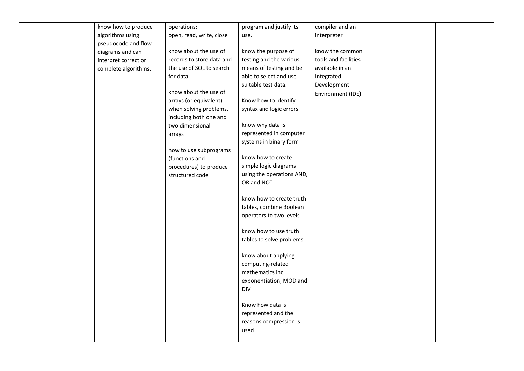| know how to produce  | operations:               | program and justify its   | compiler and an      |  |
|----------------------|---------------------------|---------------------------|----------------------|--|
| algorithms using     | open, read, write, close  | use.                      | interpreter          |  |
| pseudocode and flow  |                           |                           |                      |  |
| diagrams and can     | know about the use of     | know the purpose of       | know the common      |  |
| interpret correct or | records to store data and | testing and the various   | tools and facilities |  |
| complete algorithms. | the use of SQL to search  | means of testing and be   | available in an      |  |
|                      | for data                  | able to select and use    | Integrated           |  |
|                      |                           | suitable test data.       | Development          |  |
|                      | know about the use of     |                           | Environment (IDE)    |  |
|                      | arrays (or equivalent)    | Know how to identify      |                      |  |
|                      | when solving problems,    | syntax and logic errors   |                      |  |
|                      | including both one and    |                           |                      |  |
|                      | two dimensional           | know why data is          |                      |  |
|                      | arrays                    | represented in computer   |                      |  |
|                      |                           | systems in binary form    |                      |  |
|                      | how to use subprograms    |                           |                      |  |
|                      | (functions and            | know how to create        |                      |  |
|                      | procedures) to produce    | simple logic diagrams     |                      |  |
|                      | structured code           | using the operations AND, |                      |  |
|                      |                           | OR and NOT                |                      |  |
|                      |                           |                           |                      |  |
|                      |                           | know how to create truth  |                      |  |
|                      |                           | tables, combine Boolean   |                      |  |
|                      |                           | operators to two levels   |                      |  |
|                      |                           |                           |                      |  |
|                      |                           | know how to use truth     |                      |  |
|                      |                           | tables to solve problems  |                      |  |
|                      |                           |                           |                      |  |
|                      |                           | know about applying       |                      |  |
|                      |                           | computing-related         |                      |  |
|                      |                           | mathematics inc.          |                      |  |
|                      |                           | exponentiation, MOD and   |                      |  |
|                      |                           | <b>DIV</b>                |                      |  |
|                      |                           | Know how data is          |                      |  |
|                      |                           |                           |                      |  |
|                      |                           | represented and the       |                      |  |
|                      |                           | reasons compression is    |                      |  |
|                      |                           | used                      |                      |  |
|                      |                           |                           |                      |  |